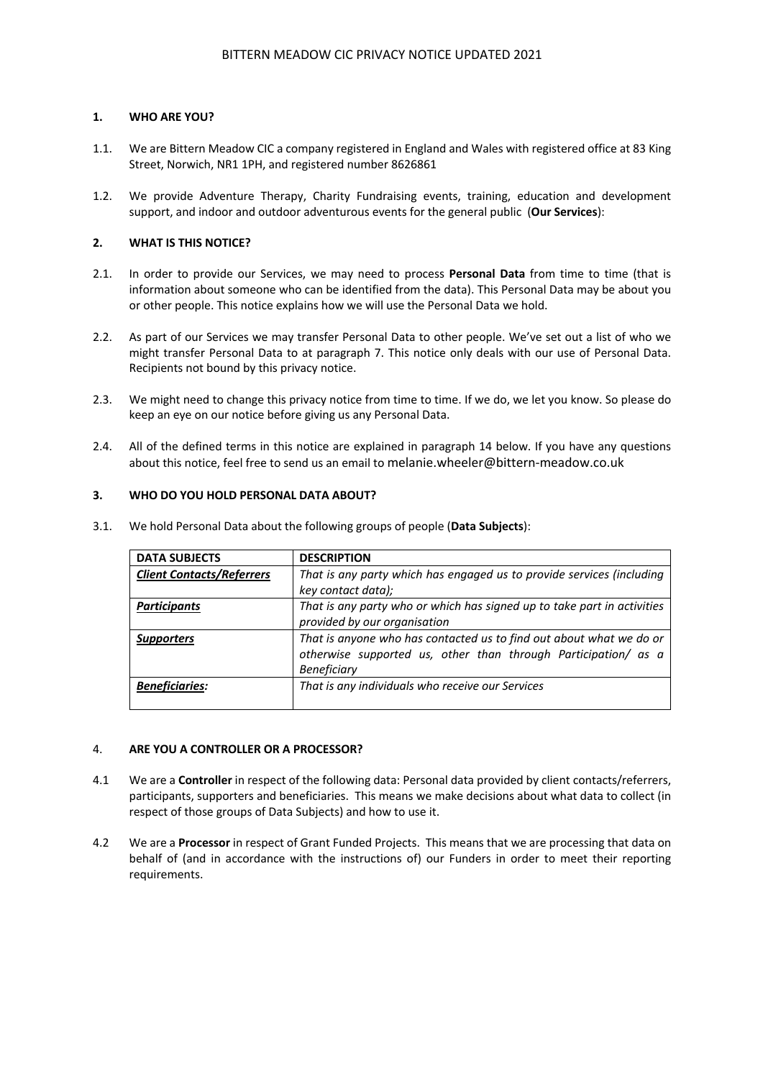## **1. WHO ARE YOU?**

- 1.1. We are Bittern Meadow CIC a company registered in England and Wales with registered office at 83 King Street, Norwich, NR1 1PH, and registered number 8626861
- 1.2. We provide Adventure Therapy, Charity Fundraising events, training, education and development support, and indoor and outdoor adventurous events for the general public (**Our Services**):

## **2. WHAT IS THIS NOTICE?**

- 2.1. In order to provide our Services, we may need to process **Personal Data** from time to time (that is information about someone who can be identified from the data). This Personal Data may be about you or other people. This notice explains how we will use the Personal Data we hold.
- 2.2. As part of our Services we may transfer Personal Data to other people. We've set out a list of who we might transfer Personal Data to at paragraph 7. This notice only deals with our use of Personal Data. Recipients not bound by this privacy notice.
- 2.3. We might need to change this privacy notice from time to time. If we do, we let you know. So please do keep an eye on our notice before giving us any Personal Data.
- 2.4. All of the defined terms in this notice are explained in paragraph 14 below. If you have any questions about this notice, feel free to send us an email to melanie.wheeler@bittern-meadow.co.uk

# **3. WHO DO YOU HOLD PERSONAL DATA ABOUT?**

| <b>DATA SUBJECTS</b>             | <b>DESCRIPTION</b>                                                                                                                                          |
|----------------------------------|-------------------------------------------------------------------------------------------------------------------------------------------------------------|
| <b>Client Contacts/Referrers</b> | That is any party which has engaged us to provide services (including                                                                                       |
|                                  | key contact data);                                                                                                                                          |
| <b>Participants</b>              | That is any party who or which has signed up to take part in activities                                                                                     |
|                                  | provided by our organisation                                                                                                                                |
| <b>Supporters</b>                | That is anyone who has contacted us to find out about what we do or<br>otherwise supported us, other than through Participation/ as a<br><b>Beneficiary</b> |
| <b>Beneficiaries:</b>            | That is any individuals who receive our Services                                                                                                            |

3.1. We hold Personal Data about the following groups of people (**Data Subjects**):

# 4. **ARE YOU A CONTROLLER OR A PROCESSOR?**

- 4.1 We are a **Controller** in respect of the following data: Personal data provided by client contacts/referrers, participants, supporters and beneficiaries. This means we make decisions about what data to collect (in respect of those groups of Data Subjects) and how to use it.
- 4.2 We are a **Processor** in respect of Grant Funded Projects. This means that we are processing that data on behalf of (and in accordance with the instructions of) our Funders in order to meet their reporting requirements.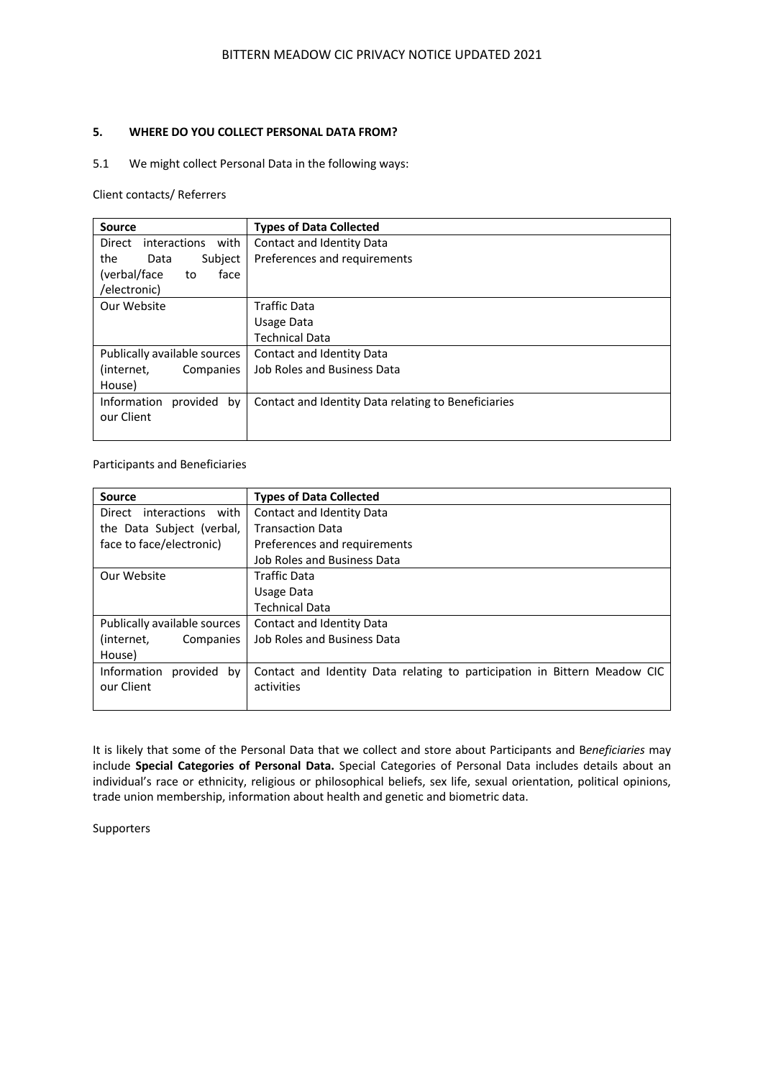## **5. WHERE DO YOU COLLECT PERSONAL DATA FROM?**

# 5.1 We might collect Personal Data in the following ways:

Client contacts/ Referrers

| <b>Source</b>                         | <b>Types of Data Collected</b>                      |
|---------------------------------------|-----------------------------------------------------|
| <i>interactions</i><br>with<br>Direct | Contact and Identity Data                           |
| Subject<br>the<br>Data                | Preferences and requirements                        |
| (verbal/face)<br>face<br>to           |                                                     |
| /electronic)                          |                                                     |
| Our Website                           | <b>Traffic Data</b>                                 |
|                                       | Usage Data                                          |
|                                       | <b>Technical Data</b>                               |
| Publically available sources          | Contact and Identity Data                           |
| (internet,<br>Companies               | Job Roles and Business Data                         |
| House)                                |                                                     |
| Information<br>provided<br>by         | Contact and Identity Data relating to Beneficiaries |
| our Client                            |                                                     |
|                                       |                                                     |

Participants and Beneficiaries

| <b>Source</b>                  | <b>Types of Data Collected</b>                                            |  |  |
|--------------------------------|---------------------------------------------------------------------------|--|--|
| interactions<br>with<br>Direct | Contact and Identity Data                                                 |  |  |
| the Data Subject (verbal,      | <b>Transaction Data</b>                                                   |  |  |
| face to face/electronic)       | Preferences and requirements                                              |  |  |
|                                | <b>Job Roles and Business Data</b>                                        |  |  |
| Our Website                    | <b>Traffic Data</b>                                                       |  |  |
|                                | Usage Data                                                                |  |  |
|                                | <b>Technical Data</b>                                                     |  |  |
| Publically available sources   | Contact and Identity Data                                                 |  |  |
| (internet,<br>Companies        | Job Roles and Business Data                                               |  |  |
| House)                         |                                                                           |  |  |
| Information<br>provided<br>by  | Contact and Identity Data relating to participation in Bittern Meadow CIC |  |  |
| our Client                     | activities                                                                |  |  |
|                                |                                                                           |  |  |

It is likely that some of the Personal Data that we collect and store about Participants and B*eneficiaries* may include **Special Categories of Personal Data.** Special Categories of Personal Data includes details about an individual's race or ethnicity, religious or philosophical beliefs, sex life, sexual orientation, political opinions, trade union membership, information about health and genetic and biometric data.

Supporters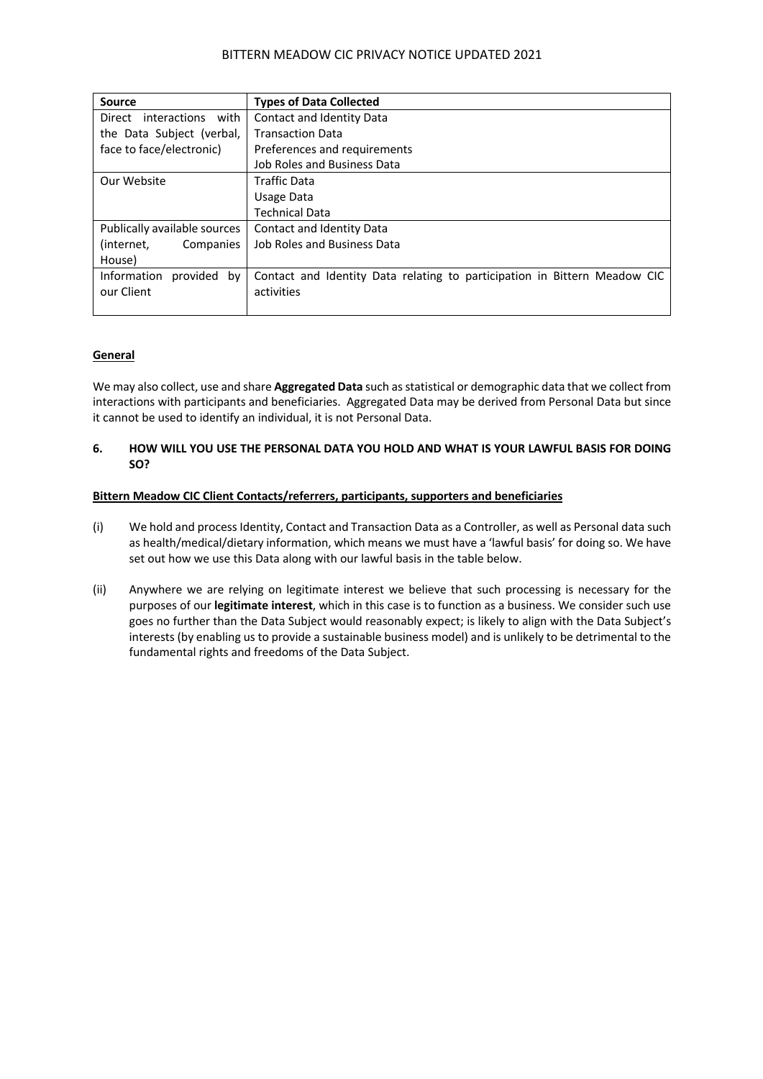| Source                        | <b>Types of Data Collected</b>                                            |  |  |
|-------------------------------|---------------------------------------------------------------------------|--|--|
| interactions with<br>Direct   | Contact and Identity Data                                                 |  |  |
| the Data Subject (verbal,     | <b>Transaction Data</b>                                                   |  |  |
| face to face/electronic)      | Preferences and requirements                                              |  |  |
|                               | Job Roles and Business Data                                               |  |  |
| Our Website                   | <b>Traffic Data</b>                                                       |  |  |
|                               | Usage Data                                                                |  |  |
|                               | <b>Technical Data</b>                                                     |  |  |
| Publically available sources  | Contact and Identity Data                                                 |  |  |
| Companies<br>(internet,       | <b>Job Roles and Business Data</b>                                        |  |  |
| House)                        |                                                                           |  |  |
| Information<br>provided<br>bv | Contact and Identity Data relating to participation in Bittern Meadow CIC |  |  |
| our Client                    | activities                                                                |  |  |
|                               |                                                                           |  |  |

## **General**

We may also collect, use and share **Aggregated Data** such as statistical or demographic data that we collect from interactions with participants and beneficiaries. Aggregated Data may be derived from Personal Data but since it cannot be used to identify an individual, it is not Personal Data.

## **6. HOW WILL YOU USE THE PERSONAL DATA YOU HOLD AND WHAT IS YOUR LAWFUL BASIS FOR DOING SO?**

## **Bittern Meadow CIC Client Contacts/referrers, participants, supporters and beneficiaries**

- (i) We hold and process Identity, Contact and Transaction Data as a Controller, as well as Personal data such as health/medical/dietary information, which means we must have a 'lawful basis' for doing so. We have set out how we use this Data along with our lawful basis in the table below.
- (ii) Anywhere we are relying on legitimate interest we believe that such processing is necessary for the purposes of our **legitimate interest**, which in this case is to function as a business. We consider such use goes no further than the Data Subject would reasonably expect; is likely to align with the Data Subject's interests (by enabling us to provide a sustainable business model) and is unlikely to be detrimental to the fundamental rights and freedoms of the Data Subject.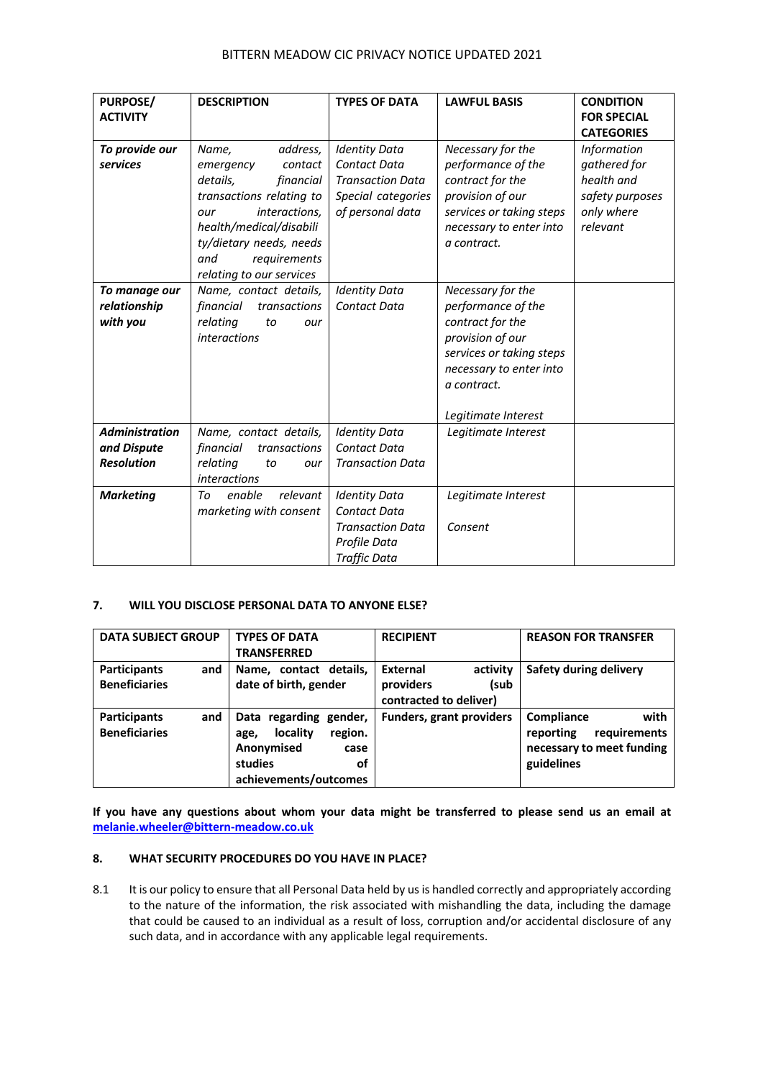| <b>PURPOSE/</b>       | <b>DESCRIPTION</b>        | <b>TYPES OF DATA</b>    | <b>LAWFUL BASIS</b>      | <b>CONDITION</b>   |
|-----------------------|---------------------------|-------------------------|--------------------------|--------------------|
| <b>ACTIVITY</b>       |                           |                         |                          | <b>FOR SPECIAL</b> |
|                       |                           |                         |                          | <b>CATEGORIES</b>  |
| To provide our        | address,<br>Name,         | <b>Identity Data</b>    | Necessary for the        | <b>Information</b> |
| services              | emergency<br>contact      | <b>Contact Data</b>     | performance of the       | gathered for       |
|                       | details,<br>financial     | <b>Transaction Data</b> | contract for the         | health and         |
|                       | transactions relating to  | Special categories      | provision of our         | safety purposes    |
|                       | interactions,<br>our      | of personal data        | services or taking steps | only where         |
|                       | health/medical/disabili   |                         | necessary to enter into  | relevant           |
|                       | ty/dietary needs, needs   |                         | a contract.              |                    |
|                       | requirements<br>and       |                         |                          |                    |
|                       | relating to our services  |                         |                          |                    |
| To manage our         | Name, contact details,    | <b>Identity Data</b>    | Necessary for the        |                    |
| relationship          | financial<br>transactions | <b>Contact Data</b>     | performance of the       |                    |
| with you              | relating<br>to<br>our     |                         | contract for the         |                    |
|                       | <i>interactions</i>       |                         | provision of our         |                    |
|                       |                           |                         | services or taking steps |                    |
|                       |                           |                         | necessary to enter into  |                    |
|                       |                           |                         | a contract.              |                    |
|                       |                           |                         |                          |                    |
|                       |                           |                         | Legitimate Interest      |                    |
| <b>Administration</b> | Name, contact details,    | <b>Identity Data</b>    | Legitimate Interest      |                    |
| and Dispute           | financial<br>transactions | <b>Contact Data</b>     |                          |                    |
| <b>Resolution</b>     | relating<br>to<br>our     | <b>Transaction Data</b> |                          |                    |
|                       | <i>interactions</i>       |                         |                          |                    |
| <b>Marketing</b>      | enable<br>relevant<br>Tο  | <b>Identity Data</b>    | Legitimate Interest      |                    |
|                       | marketing with consent    | <b>Contact Data</b>     |                          |                    |
|                       |                           | <b>Transaction Data</b> | Consent                  |                    |
|                       |                           | Profile Data            |                          |                    |
|                       |                           | <b>Traffic Data</b>     |                          |                    |

# **7. WILL YOU DISCLOSE PERSONAL DATA TO ANYONE ELSE?**

| <b>DATA SUBJECT GROUP</b>                   | <b>TYPES OF DATA</b><br><b>TRANSFERRED</b>                                                                            | <b>RECIPIENT</b>                                                    | <b>REASON FOR TRANSFER</b>                                                                 |
|---------------------------------------------|-----------------------------------------------------------------------------------------------------------------------|---------------------------------------------------------------------|--------------------------------------------------------------------------------------------|
| Participants<br>and<br><b>Beneficiaries</b> | Name, contact details,<br>date of birth, gender                                                                       | External<br>activity<br>(sub<br>providers<br>contracted to deliver) | Safety during delivery                                                                     |
| Participants<br>and<br><b>Beneficiaries</b> | Data regarding gender,<br>locality<br>region.<br>age,<br>Anonymised<br>case<br>studies<br>οf<br>achievements/outcomes | <b>Funders, grant providers</b>                                     | Compliance<br>with<br>requirements<br>reporting<br>necessary to meet funding<br>guidelines |

**If you have any questions about whom your data might be transferred to please send us an email at melanie.wheeler@bittern-meadow.co.uk**

# **8. WHAT SECURITY PROCEDURES DO YOU HAVE IN PLACE?**

8.1 It is our policy to ensure that all Personal Data held by us is handled correctly and appropriately according to the nature of the information, the risk associated with mishandling the data, including the damage that could be caused to an individual as a result of loss, corruption and/or accidental disclosure of any such data, and in accordance with any applicable legal requirements.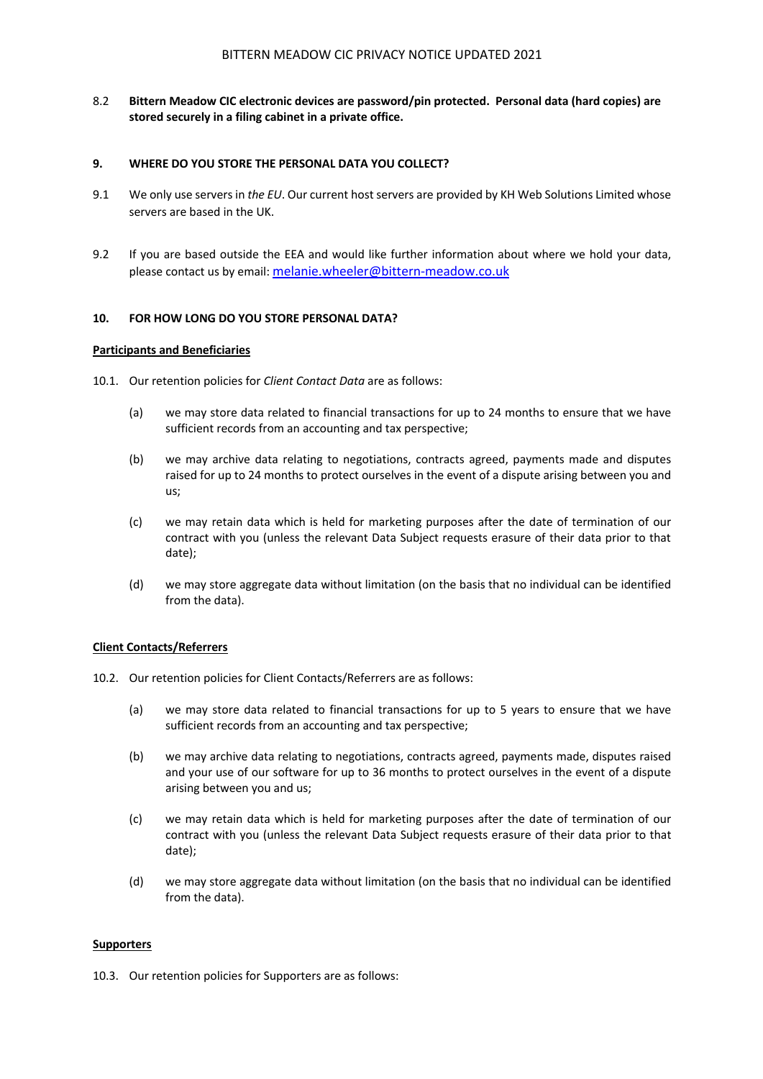8.2 **Bittern Meadow CIC electronic devices are password/pin protected. Personal data (hard copies) are stored securely in a filing cabinet in a private office.**

### **9. WHERE DO YOU STORE THE PERSONAL DATA YOU COLLECT?**

- 9.1 We only use servers in *the EU*. Our current host servers are provided by KH Web Solutions Limited whose servers are based in the UK.
- 9.2 If you are based outside the EEA and would like further information about where we hold your data, please contact us by email: melanie.wheeler@bittern-meadow.co.uk

# **10. FOR HOW LONG DO YOU STORE PERSONAL DATA?**

#### **Participants and Beneficiaries**

- 10.1. Our retention policies for *Client Contact Data* are as follows:
	- (a) we may store data related to financial transactions for up to 24 months to ensure that we have sufficient records from an accounting and tax perspective;
	- (b) we may archive data relating to negotiations, contracts agreed, payments made and disputes raised for up to 24 months to protect ourselves in the event of a dispute arising between you and us;
	- (c) we may retain data which is held for marketing purposes after the date of termination of our contract with you (unless the relevant Data Subject requests erasure of their data prior to that date);
	- (d) we may store aggregate data without limitation (on the basis that no individual can be identified from the data).

## **Client Contacts/Referrers**

- 10.2. Our retention policies for Client Contacts/Referrers are as follows:
	- (a) we may store data related to financial transactions for up to 5 years to ensure that we have sufficient records from an accounting and tax perspective;
	- (b) we may archive data relating to negotiations, contracts agreed, payments made, disputes raised and your use of our software for up to 36 months to protect ourselves in the event of a dispute arising between you and us;
	- (c) we may retain data which is held for marketing purposes after the date of termination of our contract with you (unless the relevant Data Subject requests erasure of their data prior to that date);
	- (d) we may store aggregate data without limitation (on the basis that no individual can be identified from the data).

#### **Supporters**

10.3. Our retention policies for Supporters are as follows: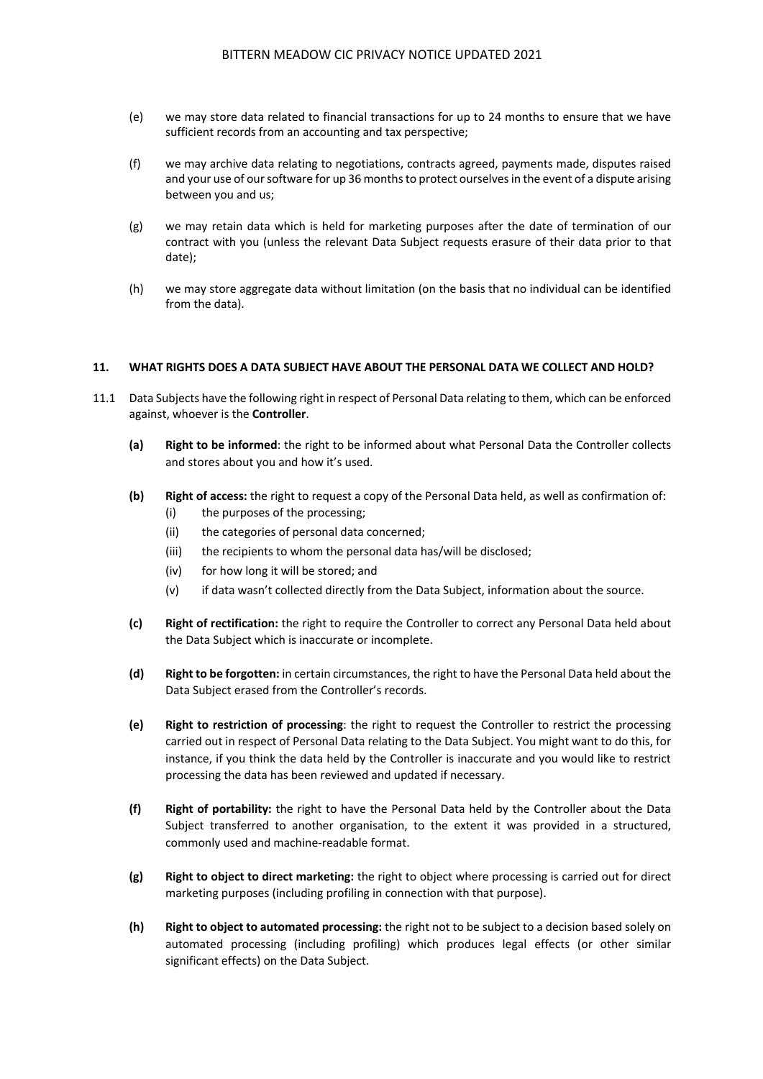- (e) we may store data related to financial transactions for up to 24 months to ensure that we have sufficient records from an accounting and tax perspective;
- (f) we may archive data relating to negotiations, contracts agreed, payments made, disputes raised and your use of our software for up 36 months to protect ourselves in the event of a dispute arising between you and us;
- (g) we may retain data which is held for marketing purposes after the date of termination of our contract with you (unless the relevant Data Subject requests erasure of their data prior to that date);
- (h) we may store aggregate data without limitation (on the basis that no individual can be identified from the data).

## **11. WHAT RIGHTS DOES A DATA SUBJECT HAVE ABOUT THE PERSONAL DATA WE COLLECT AND HOLD?**

- 11.1 Data Subjects have the following right in respect of Personal Data relating to them, which can be enforced against, whoever is the **Controller**.
	- **(a) Right to be informed**: the right to be informed about what Personal Data the Controller collects and stores about you and how it's used.
	- **(b) Right of access:** the right to request a copy of the Personal Data held, as well as confirmation of:
		- (i) the purposes of the processing;
		- (ii) the categories of personal data concerned;
		- (iii) the recipients to whom the personal data has/will be disclosed;
		- (iv) for how long it will be stored; and
		- (v) if data wasn't collected directly from the Data Subject, information about the source.
	- **(c) Right of rectification:** the right to require the Controller to correct any Personal Data held about the Data Subject which is inaccurate or incomplete.
	- **(d) Right to be forgotten:** in certain circumstances, the right to have the Personal Data held about the Data Subject erased from the Controller's records.
	- **(e) Right to restriction of processing**: the right to request the Controller to restrict the processing carried out in respect of Personal Data relating to the Data Subject. You might want to do this, for instance, if you think the data held by the Controller is inaccurate and you would like to restrict processing the data has been reviewed and updated if necessary.
	- **(f) Right of portability:** the right to have the Personal Data held by the Controller about the Data Subject transferred to another organisation, to the extent it was provided in a structured, commonly used and machine-readable format.
	- **(g) Right to object to direct marketing:** the right to object where processing is carried out for direct marketing purposes (including profiling in connection with that purpose).
	- **(h) Right to object to automated processing:** the right not to be subject to a decision based solely on automated processing (including profiling) which produces legal effects (or other similar significant effects) on the Data Subject.